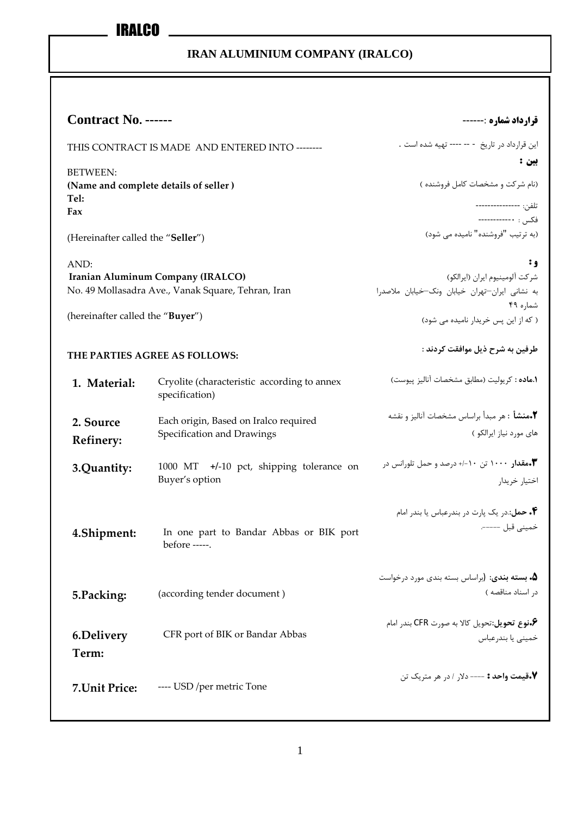| <b>Contract No. ------</b>                                       |                                                               | قرارداد شماره :------                                                      |
|------------------------------------------------------------------|---------------------------------------------------------------|----------------------------------------------------------------------------|
|                                                                  |                                                               |                                                                            |
| THIS CONTRACT IS MADE AND ENTERED INTO --------                  |                                                               | این قرارداد در تاریخ - -- ---- تهیه شده است .<br>بين :                     |
| <b>BETWEEN:</b><br>(Name and complete details of seller)<br>Tel: |                                                               | (نام شركت و مشخصات كامل فروشنده )                                          |
| Fax                                                              |                                                               | تلفن: ----------------<br>فكس: •------------                               |
| (Hereinafter called the "Seller")                                |                                                               | (به ترتیب "فروشنده" نامیده می شود)                                         |
| AND:                                                             |                                                               | ٠g                                                                         |
|                                                                  | Iranian Aluminum Company (IRALCO)                             | شركت آلومينيوم ايران (ايرالكو)                                             |
|                                                                  | No. 49 Mollasadra Ave., Vanak Square, Tehran, Iran            | به نشانی ایران-تهران خیابان ونک-خیابان ملاصدرا                             |
| (hereinafter called the "Buyer")                                 |                                                               | شماره ۴۹<br>( که از این پس خریدار نامیده می شود)                           |
| THE PARTIES AGREE AS FOLLOWS:                                    |                                                               | طرفين به شرح ذيل موافقت كردند :                                            |
| 1. Material:                                                     | Cryolite (characteristic according to annex<br>specification) | (.ماده : كريوليت (مطابق مشخصات آناليز پيوست)                               |
| 2. Source                                                        | Each origin, Based on Iralco required                         |                                                                            |
| <b>Refinery:</b>                                                 | Specification and Drawings                                    | های مورد نیاز ایرالکو )                                                    |
| 3.Quantity:                                                      | $+/-10$ pct, shipping tolerance on<br>1000 MT                 | • امقدار ۱۰۰۰ تن ۱۰-/+ درصد و حمل تلورانس در $\blacktriangledown$          |
|                                                                  | Buyer's option                                                | اختيار خريدار                                                              |
|                                                                  |                                                               | ۰۴ حمل: در یک پارت در بندرعباس یا بندر امام                                |
| 4.Shipment:                                                      | In one part to Bandar Abbas or BIK port<br>before -----.      | خمینی قبل ------                                                           |
|                                                                  |                                                               | ۰۵ بسته بندی: (براساس بسته بندی مورد درخواست                               |
| 5.Packing:                                                       | (according tender document)                                   | در اسناد مناقصه)                                                           |
| <b>6.Delivery</b>                                                | CFR port of BIK or Bandar Abbas                               | ۰۶قوع تحويل:تحويل كالا به صورت CFR بندر امام <b>؟</b><br>خمينى يا بندرعباس |
| Term:                                                            |                                                               |                                                                            |
| 7. Unit Price:                                                   | ---- USD /per metric Tone                                     | V.قيمت واحد : ---- دلار / در هر متريک تن                                   |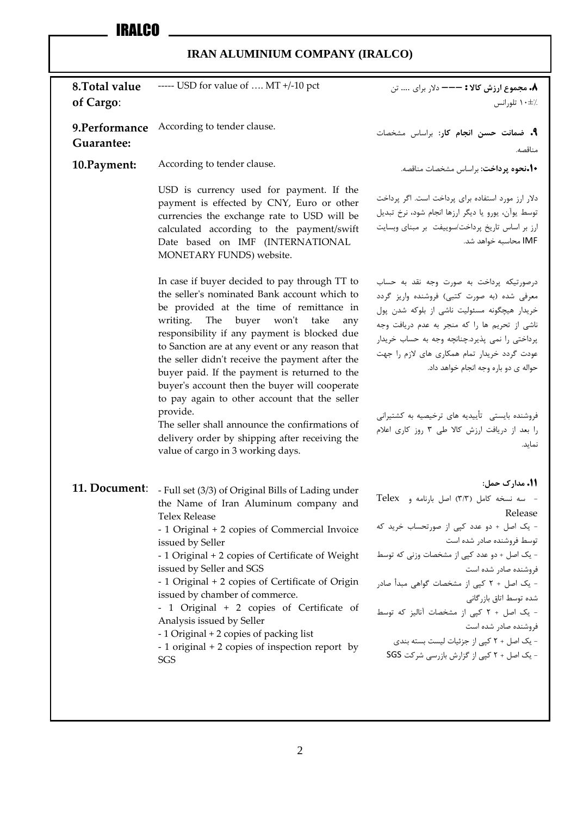| 8. Total value              | ----- USD for value of  MT +/-10 pct                                                                                                                                                                                                                                                                                                                                                                                                                                                                                                          | ۸. مجموع ارزش کالا : --- دلار برای  تن                                                                                                                                                                                                                                                                                                                                                                                                                         |
|-----------------------------|-----------------------------------------------------------------------------------------------------------------------------------------------------------------------------------------------------------------------------------------------------------------------------------------------------------------------------------------------------------------------------------------------------------------------------------------------------------------------------------------------------------------------------------------------|----------------------------------------------------------------------------------------------------------------------------------------------------------------------------------------------------------------------------------------------------------------------------------------------------------------------------------------------------------------------------------------------------------------------------------------------------------------|
| of Cargo:                   |                                                                                                                                                                                                                                                                                                                                                                                                                                                                                                                                               | ۰۰±۱۰ تلورانس                                                                                                                                                                                                                                                                                                                                                                                                                                                  |
| 9.Performance<br>Guarantee: | According to tender clause.                                                                                                                                                                                                                                                                                                                                                                                                                                                                                                                   | ٩. ضمانت حسن انجام كار: براساس مشخصات<br>مناقصه.                                                                                                                                                                                                                                                                                                                                                                                                               |
| 10. Payment:                | According to tender clause.                                                                                                                                                                                                                                                                                                                                                                                                                                                                                                                   | •ا•نحوه پرداخت: براساس مشخصات مناقصه.                                                                                                                                                                                                                                                                                                                                                                                                                          |
|                             | USD is currency used for payment. If the<br>payment is effected by CNY, Euro or other<br>currencies the exchange rate to USD will be<br>calculated according to the payment/swift<br>Date based on IMF (INTERNATIONAL<br>MONETARY FUNDS) website.                                                                                                                                                                                                                                                                                             | دلار ارز مورد استفاده برای پرداخت است. اگر پرداخت<br>توسط یوآن، یورو یا دیگر ارزها انجام شود، نرخ تبدیل<br>ارز بر اساس تاریخ پرداخت/سوییفت بر مبنای وبسایت<br>IMF محاسبه خواهد شد.                                                                                                                                                                                                                                                                             |
|                             | In case if buyer decided to pay through TT to<br>the seller's nominated Bank account which to<br>be provided at the time of remittance in<br>writing. The buyer won't take<br>any<br>responsibility if any payment is blocked due<br>to Sanction are at any event or any reason that<br>the seller didn't receive the payment after the<br>buyer paid. If the payment is returned to the<br>buyer's account then the buyer will cooperate<br>to pay again to other account that the seller                                                    | درصورتیکه پرداخت به صورت وجه نقد به حساب<br>معرفی شده (به صورت کتبی) فروشنده واریز گردد<br>خریدار هیچگونه مسئولیت ناشی از بلوکه شدن پول<br>ناشی از تحریم ها را که منجر به عدم دریافت وجه<br>پرداختی را نمی پذیرد.چنانچه وجه به حساب خریدار<br>عودت گردد خریدار تمام همکاری های لازم را جهت<br>حواله ی دو باره وجه انجام خواهد داد.                                                                                                                             |
|                             | provide.<br>The seller shall announce the confirmations of<br>delivery order by shipping after receiving the<br>value of cargo in 3 working days.                                                                                                                                                                                                                                                                                                                                                                                             | فروشنده بایستی۔ تأییدیه های ترخیصیه به کشتیرانی<br>را بعد از دریافت ارزش کالا طی ٣ روز کاری اعلام<br>نمايد.                                                                                                                                                                                                                                                                                                                                                    |
| 11. Document:               | - Full set (3/3) of Original Bills of Lading under<br>the Name of Iran Aluminum company and<br><b>Telex Release</b><br>- 1 Original + 2 copies of Commercial Invoice<br>issued by Seller<br>- 1 Original + 2 copies of Certificate of Weight<br>issued by Seller and SGS<br>- 1 Original + 2 copies of Certificate of Origin<br>issued by chamber of commerce.<br>- 1 Original + 2 copies of Certificate of<br>Analysis issued by Seller<br>- 1 Original + 2 copies of packing list<br>- 1 original + 2 copies of inspection report by<br>SGS | 11. مدارک حمل:<br>- سه نسخه کامل (٣/٣) اصل بارنامه و Telex<br>Release<br>- یک اصل + دو عدد کپی از صورتحساب خرید که<br>توسط فروشنده صادر شده است<br>- یک اصل + دو عدد کیی از مشخصات وزنی که توسط<br>فروشنده صادر شده است<br>- یک اصل + ۲ کپی از مشخصات گواهی مبدأ صادر<br>شده توسط اتاق بازرگانی<br>- یک اصل + ٢ کیی از مشخصات آنالیز که توسط<br>فروشنده صادر شده است<br>- یک اصل + ۲ کپی از جزئیات لیست بسته بندی<br>- یک اصل + ۲ کپی از گزارش بازرسی شرکت SGS |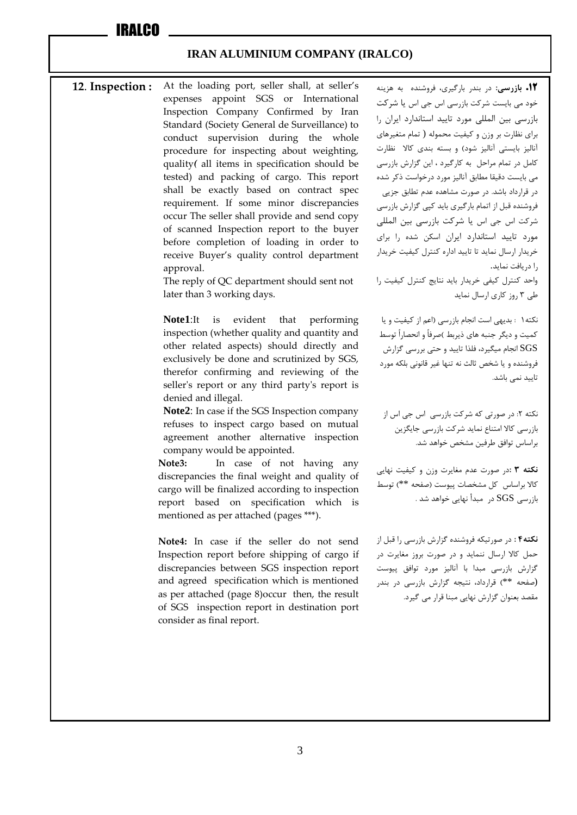#### **12**. **Inspection :** At the loading port, seller shall, at seller's expenses appoint SGS or International Inspection Company Confirmed by Iran Standard (Society General de Surveillance) to conduct supervision during the whole procedure for inspecting about weighting, quality*)* all items in specification should be tested) and packing of cargo. This report shall be exactly based on contract spec requirement. If some minor discrepancies occur The seller shall provide and send copy of scanned Inspection report to the buyer before completion of loading in order to receive Buyer's quality control department approval.

The reply of QC department should sent not later than 3 working days.

**Note1**:It is evident that performing inspection (whether quality and quantity and other related aspects) should directly and exclusively be done and scrutinized by SGS, therefor confirming and reviewing of the seller's report or any third party's report is denied and illegal.

**Note2**: In case if the SGS Inspection company refuses to inspect cargo based on mutual agreement another alternative inspection company would be appointed.

**Note3:** In case of not having any discrepancies the final weight and quality of cargo will be finalized according to inspection report based on specification which is mentioned as per attached (pages \*\*\*).

**Note4:** In case if the seller do not send Inspection report before shipping of cargo if discrepancies between SGS inspection report and agreed specification which is mentioned as per attached (page 8)occur then, the result of SGS inspection report in destination port consider as final report.

**.12 بازرسی:** در بندر بارگیری، فروشنده به هزینه خود می بایست شرکت بازرسی اس جی اس یا شرکت بازرسی بین المللی مورد تایید استاندارد ایران را برای نظارت بر وزن و کیفیت محموله ( تمام متغیرهای آنالیز بایستی آنالیز شود) و بسته بندی کالا نظارت کامل در تمام مراحل به کارگیرد ، این گزارش بازرسی می بایست دقیقا مطابق آنالیز مورد درخواست ذکر شده در قرارداد باشد. در صورت مشاهده عدم تطابق جزیی فروشنده قبل از اتمام بارگیری باید کپی گزارش بازرسی شرکت اس جی اس یا شرکت بازرسی بین المللی مورد تایید استاندارد ایران اسکن شده را برای خریدار ارسال نماید تا تایید اداره کنترل کیفیت خریدار را دریافت نماید. واحد کنترل کیفی خریدار باید نتایج کنترل کیفیت را

طی 3 روز کاری ارسال نماید

نکته1 : بدیهی است انجام بازرسی )اعم از کیفیت و یا کمیت و دیگر جنبه های ذیربط )صرفاً و انحصاراً توسط SGS انجام میگیرد، فلذا تایید و حتی بررسی گزارش فروشنده و یا شخص ثالث نه تنها غیر قانونی بلکه مورد تایید نمی باشد.

نکته ۲: در صورتی که شرکت بازرسی اس جی اس از بازرسی کاال امتناع نماید شرکت بازرسی جایگزین براساس توافق طرفین مشخص خواهد شد.

**نکته 3 :**در صورت عدم مغایرت وزن و کیفیت نهایی کاال براساس کل مشخصات پیوست )صفحه \*\*( توسط بازرسی SGS در مبدأ نهایی خواهد شد .

**نکته4 :** در صورتیکه فروشنده گزارش بازرسی را قبل از حمل کاال ارسال ننماید و در صورت بروز مغایرت در گزارش بازرسی مبدا با آنالیز مورد توافق پیوست (صفحه \*\*( قرارداد، نتیجه گزارش بازرسی در بندر مقصد بعنوان گزارش نهایی مبنا قرار می گیرد.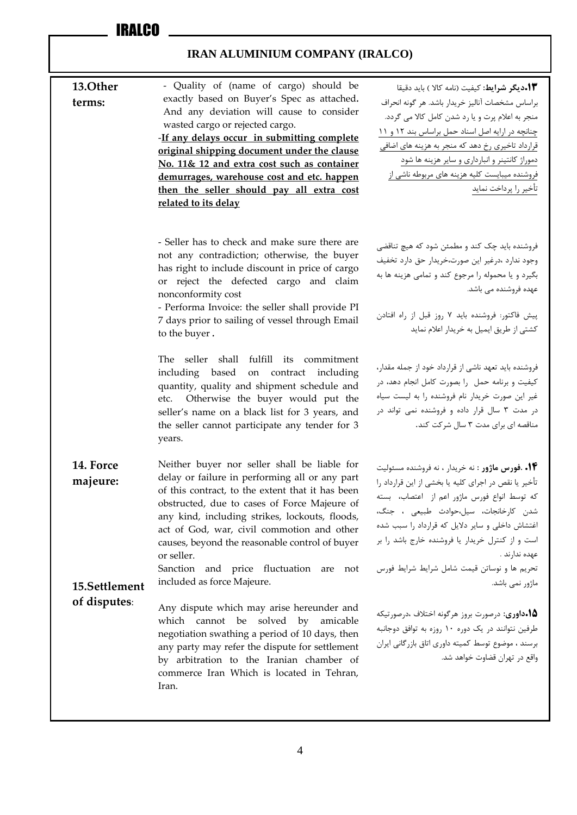| 13.Other<br>terms:                     | - Quality of (name of cargo) should be<br>exactly based on Buyer's Spec as attached.<br>And any deviation will cause to consider<br>wasted cargo or rejected cargo.<br>-If any delays occur in submitting complete<br>original shipping document under the clause<br>No. 11& 12 and extra cost such as container<br>demurrages, warehouse cost and etc. happen<br>then the seller should pay all extra cost<br>related to its delay           | <b>۱۳.ديگر شرايط:</b> كيفيت (نامه كالا ) بايد دقيقا<br>براساس مشخصات آناليز خريدار باشد. هر گونه انحراف<br>منجر به اعلام پرت و یا رد شدن کامل کالا می گردد.<br>چنانچه در ارایه اصل اسناد حمل براساس بند ١٢ و ١١<br>قرارداد تاخیری رخ دهد که منجر به هزینه های اضافی<br>دموراژ کانتینر و انبارداری و سایر هزینه ها شود<br>فروشنده میبایست کلیه هزینه های مربوطه ناشی از<br>تأخير را پرداخت نمايد |
|----------------------------------------|-----------------------------------------------------------------------------------------------------------------------------------------------------------------------------------------------------------------------------------------------------------------------------------------------------------------------------------------------------------------------------------------------------------------------------------------------|-------------------------------------------------------------------------------------------------------------------------------------------------------------------------------------------------------------------------------------------------------------------------------------------------------------------------------------------------------------------------------------------------|
|                                        | - Seller has to check and make sure there are<br>not any contradiction; otherwise, the buyer<br>has right to include discount in price of cargo<br>or reject the defected cargo and claim<br>nonconformity cost<br>- Performa Invoice: the seller shall provide PI<br>7 days prior to sailing of vessel through Email<br>to the buyer.                                                                                                        | فروشنده باید چک کند و مطمئن شود که هیچ تناقضی<br>وجود ندارد ،درغير اين صورت،خريدار حق دارد تخفيف<br>بگیرد و یا محموله را مرجوع کند و تمامی هزینه ها به<br>عهده فروشنده می باشد.<br>پیش فاکتور: فروشنده باید ۷ روز قبل از راه افتادن<br>كشتى از طريق ايميل به خريدار اعلام نمايد                                                                                                                 |
|                                        | seller shall fulfill its commitment<br>The<br>including based on contract including<br>quantity, quality and shipment schedule and<br>Otherwise the buyer would put the<br>etc.<br>seller's name on a black list for 3 years, and<br>the seller cannot participate any tender for 3<br>years.                                                                                                                                                 | فروشنده باید تعهد ناشی از قرارداد خود از جمله مقدار،<br>كيفيت وبرنامه حمل را بصورت كامل انجام دهد، در<br>غیر این صورت خریدار نام فروشنده را به لیست سیاه<br>در مدت ۳ سال قرار داده و فروشنده نمی تواند در<br>مناقصه ای برای مدت ۳ سال شرکت کند.                                                                                                                                                 |
| 14. Force<br>majeure:<br>15.Settlement | Neither buyer nor seller shall be liable for<br>delay or failure in performing all or any part<br>of this contract, to the extent that it has been<br>obstructed, due to cases of Force Majeure of<br>any kind, including strikes, lockouts, floods,<br>act of God, war, civil commotion and other<br>causes, beyond the reasonable control of buyer<br>or seller.<br>Sanction<br>and price fluctuation are not<br>included as force Majeure. | ۰۱۴ .فورس ماژور : نه خریدار ، نه فروشنده مسئولیت<br>تأخير يا نقص در اجراي كليه يا بخشي از اين قرارداد را<br>كه توسط انواع فورس ماژور اعم از اعتصاب، بسته<br>شدن كارخانجات، سيل،حوادث طبيعي ، جنگ،<br>اغتشاش داخلی و سایر دلایل که قرارداد را سبب شده<br>است و از کنترل خریدار یا فروشنده خارج باشد را بر<br>عهده ندارند .<br>تحریم ها و نوساتن قیمت شامل شرایط شرایط فورس<br>ماژور نمی باشد.    |
| of disputes:                           | Any dispute which may arise hereunder and<br>which cannot be solved by<br>amicable<br>negotiation swathing a period of 10 days, then<br>any party may refer the dispute for settlement<br>by arbitration to the Iranian chamber of<br>commerce Iran Which is located in Tehran,<br>Iran.                                                                                                                                                      | <b>۱۵۰۱۵وری</b> : درصورت بروز هرگونه اختلاف ،درصورتیکه<br>طرفین نتوانند در یک دوره ۱۰ روزه به توافق دوجانبه<br>برسند ، موضوع توسط كميته داوري اتاق بازرگاني ايران<br>واقع در تهران قضاوت خواهد شد.                                                                                                                                                                                              |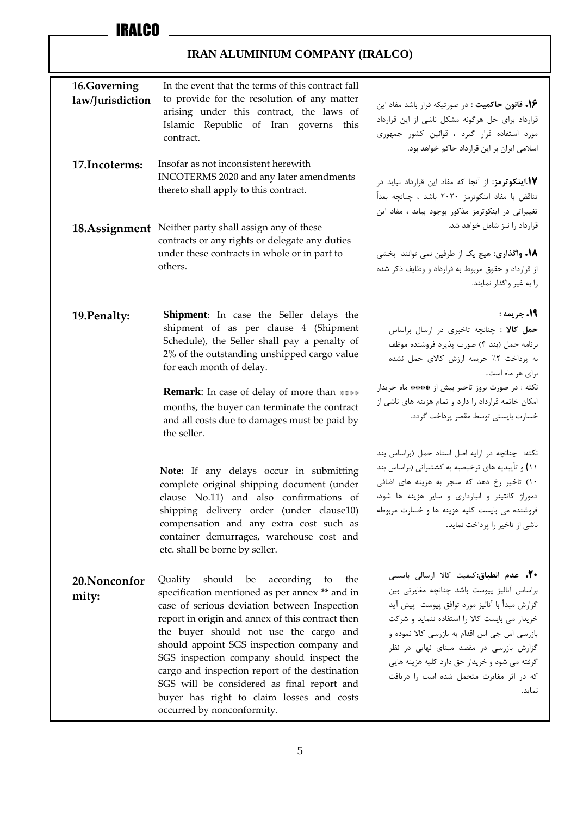| 16.Governing<br>law/Jurisdiction<br>17. Incoterms: | In the event that the terms of this contract fall<br>to provide for the resolution of any matter<br>arising under this contract, the laws of<br>Islamic Republic of Iran governs this<br>contract.<br>Insofar as not inconsistent herewith                                                                                                                                                                                                                                                                             | ۰۱۶ قانون حاکمیت : در صورتیکه قرار باشد مفاد این<br>قرارداد برای حل هرگونه مشکل ناشی از این قرارداد<br>مورد استفاده قرار گیرد ، قوانین کشور جمهوری<br>اسلامی ایران بر این قرارداد حاکم خواهد بود.                                                                                                                                                                                                  |
|----------------------------------------------------|------------------------------------------------------------------------------------------------------------------------------------------------------------------------------------------------------------------------------------------------------------------------------------------------------------------------------------------------------------------------------------------------------------------------------------------------------------------------------------------------------------------------|----------------------------------------------------------------------------------------------------------------------------------------------------------------------------------------------------------------------------------------------------------------------------------------------------------------------------------------------------------------------------------------------------|
|                                                    | INCOTERMS 2020 and any later amendments<br>thereto shall apply to this contract.                                                                                                                                                                                                                                                                                                                                                                                                                                       | 1. اینکوترمز: از آنجا که مفاد این قرارداد نباید در<br>تناقض با مفاد اينكوترمز ٢٠٢٠ باشد ، چنانچه بعداً<br>تغییراتی در اینکوترمز مذکور بوجود بیاید ، مفاد این                                                                                                                                                                                                                                       |
|                                                    | 18.Assignment Neither party shall assign any of these<br>contracts or any rights or delegate any duties<br>under these contracts in whole or in part to<br>others.                                                                                                                                                                                                                                                                                                                                                     | قرارداد را نیز شامل خواهد شد.<br><b>۱۸. واگذاری:</b> هیچ یک از طرفین نمی توانند بخشی<br>از قرارداد و حقوق مربوط به قرارداد و وظایف ذکر شده<br>را به غیر واگذار نمایند.                                                                                                                                                                                                                             |
| 19. Penalty:                                       | <b>Shipment:</b> In case the Seller delays the<br>shipment of as per clause 4 (Shipment<br>Schedule), the Seller shall pay a penalty of<br>2% of the outstanding unshipped cargo value<br>for each month of delay.<br><b>Remark:</b> In case of delay of more than ****<br>months, the buyer can terminate the contract<br>and all costs due to damages must be paid by<br>the seller.                                                                                                                                 | 19. جريمه :<br>حمل كالا : چنانچه تاخيرى در ارسال براساس<br>برنامه حمل (بند ۴) صورت پذیرد فروشنده موظف<br>به پرداخت ٢٪ جريمه ارزش كالاى حمل نشده<br>برای هر ماه است.<br>نكته : در صورت بروز تاخير بيش از **** ماه خريدار<br>امکان خاتمه قرارداد را دارد و تمام هزینه های ناشی از<br>خسارت بايستى توسط مقصر پرداخت گردد.                                                                             |
|                                                    | Note: If any delays occur in submitting<br>complete original shipping document (under<br>clause No.11) and also confirmations of<br>shipping delivery order (under clause10)<br>compensation and any extra cost such as<br>container demurrages, warehouse cost and<br>etc. shall be borne by seller.                                                                                                                                                                                                                  | نكته: چنانچه در ارايه اصل اسناد حمل (براساس بند<br>٬۱۱ و تأییدیه های ترخیصیه به کشتیرانی (براساس بند<br>١٠) تاخير رخ دهد كه منجر به هزينه هاى اضافى<br>دموراژ کانتینر و انبارداری و سایر هزینه ها شود،<br>فروشنده می بایست کلیه هزینه ها و خسارت مربوطه<br>ناشی از تاخیر را پرداخت نماید.                                                                                                          |
| 20. Nonconfor<br>mity:                             | should<br>according<br>Quality<br>be<br>to<br>the<br>specification mentioned as per annex ** and in<br>case of serious deviation between Inspection<br>report in origin and annex of this contract then<br>the buyer should not use the cargo and<br>should appoint SGS inspection company and<br>SGS inspection company should inspect the<br>cargo and inspection report of the destination<br>SGS will be considered as final report and<br>buyer has right to claim losses and costs<br>occurred by nonconformity. | <b>۰۲۰ عدم انطباق</b> :کیفیت کالا ارسالی بایستی<br>براساس آناليز پيوست باشد چنانچه مغايرتى بين<br>گزارش مبدأ با آناليز مورد توافق پيوست پيش آيد<br>خریدار می بایست کالا را استفاده ننماید و شرکت<br>بازرسی اس جی اس اقدام به بازرسی کالا نموده و<br>گزارش بازرسی در مقصد مبنای نهایی در نظر<br>گرفته می شود و خریدار حق دارد کلیه هزینه هایی<br>كه در اثر مغايرت متحمل شده است را دريافت<br>نماید. |